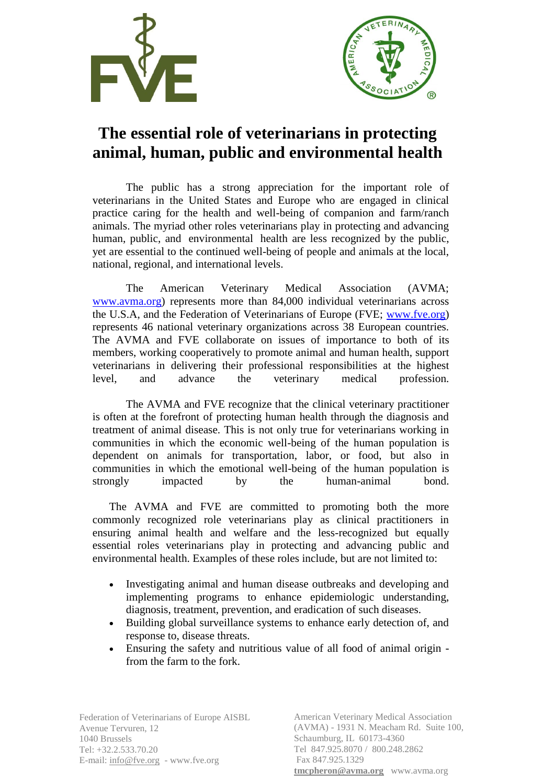



## **The essential role of veterinarians in protecting animal, human, public and environmental health**

The public has a strong appreciation for the important role of veterinarians in the United States and Europe who are engaged in clinical practice caring for the health and well-being of companion and farm/ranch animals. The myriad other roles veterinarians play in protecting and advancing human, public, and environmental health are less recognized by the public, yet are essential to the continued well-being of people and animals at the local, national, regional, and international levels.

The American Veterinary Medical Association (AVMA; [www.avma.org\)](http://www.avma.org/) represents more than 84,000 individual veterinarians across the U.S.A, and the Federation of Veterinarians of Europe (FVE; [www.fve.org\)](http://www.fve.org/) represents 46 national veterinary organizations across 38 European countries. The AVMA and FVE collaborate on issues of importance to both of its members, working cooperatively to promote animal and human health, support veterinarians in delivering their professional responsibilities at the highest level, and advance the veterinary medical profession.

The AVMA and FVE recognize that the clinical veterinary practitioner is often at the forefront of protecting human health through the diagnosis and treatment of animal disease. This is not only true for veterinarians working in communities in which the economic well-being of the human population is dependent on animals for transportation, labor, or food, but also in communities in which the emotional well-being of the human population is strongly impacted by the human-animal bond.

The AVMA and FVE are committed to promoting both the more commonly recognized role veterinarians play as clinical practitioners in ensuring animal health and welfare and the less-recognized but equally essential roles veterinarians play in protecting and advancing public and environmental health. Examples of these roles include, but are not limited to:

- Investigating animal and human disease outbreaks and developing and implementing programs to enhance epidemiologic understanding, diagnosis, treatment, prevention, and eradication of such diseases.
- Building global surveillance systems to enhance early detection of, and response to, disease threats.
- Ensuring the safety and nutritious value of all food of animal origin from the farm to the fork.